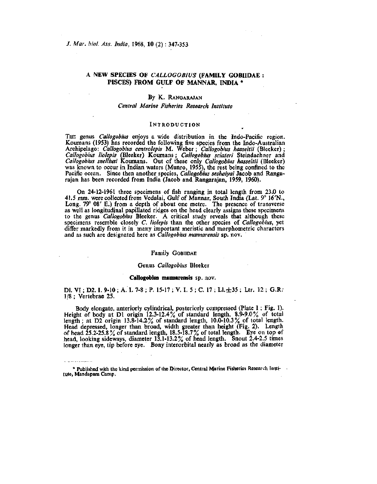# A NEW SPECIES OF *CALLOGOBIUS* (FAMILY GOBIIDAE : PISCES) FROM GULF OF MANNAR, INDIA \*

## By K. RANGARAJAN

## *Central Marine Fisheries Research Institute*

### INTRODUCTION

THE genus *Callogobius* enjoys a wide distribution in the Indo-Pacific region. Koumans (1953) has recorded the following five species from the Indo-Australian Archipelago: *Callogobius centrolepis* M. Weber; *Callogobius hasseltii* (Bleeker) ; *Callogobius liolepis* (Bleeker) Koumans; *Callogobius sclateri* Steindachner and *Callogobius snelliusi* Koumans. Out of these only *Callogobius hasseltii* (Bleeker) was known to occur in Indian waters (Munro, 1955), the rest being confined to the Pacific ocean. Since then another species, *Callogobius seshaiyai* Jacob and Rangarajan has been recorded from India (Jacob and Rangarajan, 1959, 1960).

On 24-12-1961 three specimens of fish ranging in total length from 23.0 to 41.5 mm. were collected from Vedalai, Gulf of Mannar, South India (Lat. 9° 16'N., Long. 79° 08' E.) from a depth of about one metre. The presence of transverse as well as longitudinal papillated ridges on the head clearly assigns these specimens to the genus *Callogobius* Bleeker. A critical study reveals that although these specimens resemble closely C. *liolepis* than the other species of *Callogobius,* yet differ markedly from it in many important meristic and morphometric characters and as such are designated here as *Callogobius mannarensis* sp. nov.

## Family GOBIIDAE

### Genus *Callogobius* Bleeker

#### Callogobius mannarensis sp. nov.

Dl. VI; D2. I. 9-10; A, I. 7-8; P. 15-17; V. I. 5; C. 17; Ll. $\pm 35$ ; Ltr. 12; G.R. 1/8 ; Vertebrae 25.

Body elongate, anteriorly cylindrical, posteriorly compressed (Plate I; Fig. 1). Height of body at Dl origin 12.3-12.4% of standard length, 8.9-9.0% of total length; at D2 origin 13.8-14.2% of standard length,  $10.0-10.3\%$  of total length. Head depressed, longer than broad, width greater than height (Fig. 2). Length of head  $25.2-25.8\%$  of standard length,  $18.5-18.7\%$  of total length. Eye on top of head, looking sideways, diameter 13.1-13.2% of head length. Snout 2.4-2.5 times longer than eye, tip before eye. Bony interorbital nearly as broad as the diameter

<sup>\*</sup> Published with the kind permission of the Director, Central Marine Fisheries Research Institute, Mandapam Camp,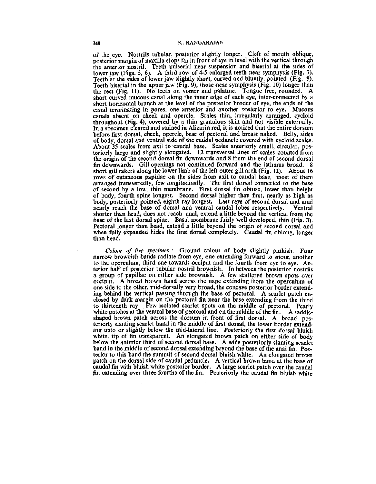of the eye. Nostrils tubular, posterior slightly longer. Cleft of mouth oblique, posterior margin of maxilla stops far in front of eye in level with the vertical through the anterior nostril. Teeth uniserial near suspension and biserial at the sides of lower jaw (Figs. 5, 6). A third row of 4-5 enlarged teeth near symphysis (Fig. 7). Teeth at the sides.of lower jaw slightly short, curved and bluntly pointed (Fig. 8). Teeth biserial in the upper jaw (Fig. 9), those near symphysis (Fig. 10) longer than the rest (Fig. 11). No teeth on vomer and palatine. Tongue free, rounded. A short curved mucous canal along the inner edge of each eye, inter-connected by a short horizontal branch at the level of the posterior border of eye, the ends of the canal terminating in pores, one anterior and another posterior to eye. Mucous canals absent on cheek and opercle. Scales thin, irregularly arranged, cycloid throughout (Fig. 4), covered by a thin granulous skin and not visible externally. In a specimen cleared and stained in Alizarin red, it is noticed that the entire dorsum before first dorsal, cheek, opercle, base of pectoral and breast naked. Belly, sides of body, dorsal and ventral side of the caudal peduncle covered with cycloid scales. About 35 scales from axil to caudal base. Scales anteriorly small, circular, posteriorly large and slightly elongated. 12 transversal lines of scales counted from the origin of the second dorsal fin downwards and 8 from ths end of second dorsal fin downwards. Gill openings not continued forward and the isthmus broad. 8 short gill rakers along the lower limb of the left outer gill arch (Fig. 12). About 16 rows of cutaneous papillae on the sides from axil to caudal base, most of them arranged transversally, few longitudinally. The first dorsal connected to the base of second by a low, thin membrane. First dorsal fin obtuse, lower than height of body, fourth spine longest. Second dorsal higher than first, nearly as high as body, posteriorly pointed, eighth ray longest. Last rays of second dorsal and anal nearly reach the base of dorsal and ventral caudal lobes respectively. Ventral shorter than head, does not reach, and volutal valual, lobes respectively. I vellifall<br>chorter than head, does not reach, anal, extend a little beyond the vertical from the shorter than head, does not reach anal, exicute a mule beyond the vertical from the<br>hase of the last dorsal spine. Basal membrane fairly well developed, thin (Fig. 3). pase of the fast dorsal spine. Basal includitatie fairly well developed, thin (Fig. 3).<br>Dectarel longer than head, extend a little beyond the origin of second dorsal and rectoral longer than nead, extend a fittie beyond the origin of second dorsal and<br>when fully expanded hides the first dorsal completely. Caudal fin oblong, longer when runy.<br>than head.

*Colour of live specimen :* Ground colour of body slightly pinkish. Four narrow brownish bands radiate from eye, one extending forward to snout, another to the operculum, third one towards occiput and the fourth from eye to eye. Anterior half of posterior tubular nostril brownish. In between the posterior nostrils a group of papillae on either side brownish. A few scattered brown spots over occiput. A broad brown band across the nape extending from the operculum of one side to the other, mid-dorsally very broad, the concave posterior border extending behind the vertical passing through the base of pectoral. A scarlet patch enclosed by dark margin on the pectoral fin near the base extending from the third to thirteenth ray. . Few isolated scarlet spots on the middle of pectoral. Pearly white patches at the ventral base of pectoral and on the middle of the fin. A saddleshaped brown patch across the dorsum in front of first dorsal. A broad posteriorly slanting scarlet band in the middle of first dorsal, the lower border extending upto or slightly below the mid-lateral line. Posteriorly the first dorsal bluish white, tip of fin transparent. An elongated brown patch on either side of body below the anterior third of second dorsal base. A wide posteriorly slanting scarlet band in the middle of second dorsal extending beyond the base of the anal fin. Posterior to this band the summit of second dorsal bluish white. An elongated brown patch on the dorsal side of caudal peduncle. A vertical brown band at the base of caudal fin with bluish white posterior border. A large scarlet patch over the caudal fin extending over three-fourths of the fin, Posteriorly the caudal fin bluish white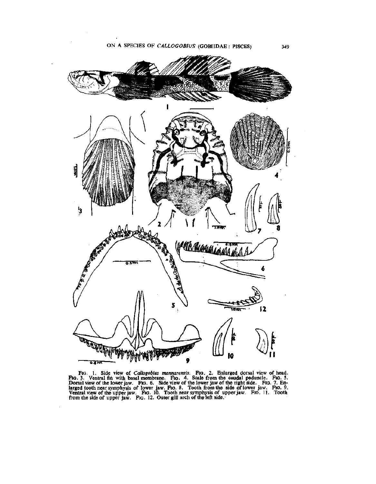

FIG. 1. Side view of *Callogobius mannarensis*. FIG. 2. Enlarged dorsal view of head.<br>FIG. 3. Ventral fin with basal membrane. FIG. 4. Scale from the caudal peduncle. FIG. 5.<br>Dorsal view of the lower jaw. FIG. 6. Side view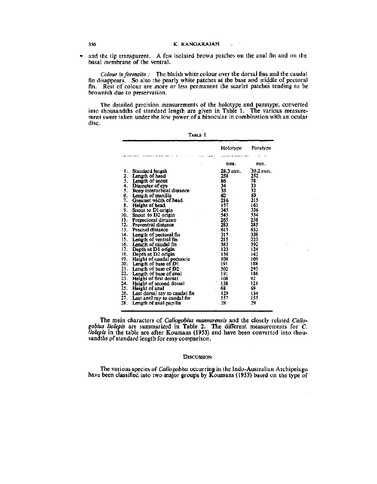and the tip transparent. A few isolated brown patches on the anal fin and on the  $\bullet$ basal membrane of the ventral.

*Colour in formalin :* The bluish white colour over the dorsal fins and the caudal fin disappears. So also the pearly white patches at the base and middle of pectoral fin. Rest of colour are more or less permanent the scarlet patches tending to be brownish due to preservation.

The detailed precision measurements of the holotype and paratype, converted into thousandths of standard length are given in Table 1. The various measurement swere taken under the low power of a binocular in combination with an ocular disc.

|     |                               | Holotype | Paratype              |
|-----|-------------------------------|----------|-----------------------|
|     |                               | mm.      | mm.                   |
| ι.  | Standard length               | 28.3 mm. | $30.2 \, \text{mm}$ . |
| 2.  | Length of head                | 258      | 252                   |
| 3.  | Length of snout               | 86       | 78                    |
| 4.  | Diameter of eye               | 34       | 33                    |
| 5.  | Bony interorbital distance    | 33       | 32                    |
| 6.  | Length of maxilla             | 62       | 63                    |
| Ϋ,  | Greatest width of head        | 216      | 215                   |
| 8.  | Height of head                | 157      | 161                   |
| 9.  | Snout to Dl origin            | 345      | 336                   |
| 10. | Snout to D2 origin            | 545      | 534                   |
| 11. | Prepectoral distance          | 265      | 258                   |
| 12. | Preventral distance           | 283      | 285                   |
| 13. | Preanal distance              | 615      | 632                   |
| 14. | Length of pectoral fin        | 317      | 338                   |
| 15. | Length of ventral fin         | 215      | 223                   |
| 16. | Length of caudal fin          | 385      | 392                   |
| 17. | Depth at D1 origin            | 123      | 124                   |
| 18. | Depth at D2 origin            | 138      | 142                   |
| 19. | Height of caudal peduncle     | 108      | 109                   |
| 20. | Length of base of D1          | 191      | 188                   |
| 21. | Length of base of D2          | 302      | 293                   |
| 22. | Length of base of anal        | 191      | 186                   |
| 23. | Height of first dorsal        | 108      | 92                    |
| 24. | Height of second dorsal       | 138      | 121                   |
| 25. | Height of anal                | 68       | 69                    |
| 26. | Last dorsal ray to caudal fin | 129      | 134                   |
| 27. | Last anal ray to caudal fin   | 157      | 155                   |
| 28. | Length of anal papilla        | 28       | 29                    |

TABLE I

The main characters of *Callogobius mannarensis* and the closely related *Callogobius liolepis* are summarized in Table 2. The different measurements for *C. liolepis* in the table are after Koumans (1953) and have been converted into thousandths pf standard length for easy comparison.

#### **DISCUSSION**

The various species of *Callogobius* occurring in the Indo-Australian Archipelago have been classified into two major groups by Koumans (1953) based on the type of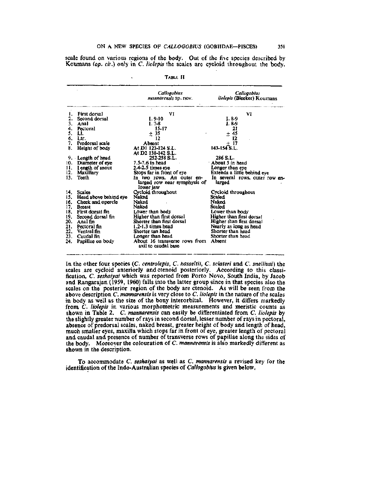scale found on various regions of the body. Out of the five species described by Koumans *(op. cit.)* only in *C. liolepis* the scales are cycloid throughout the body.

|     |                       | Callogobius<br>mannarensis Sp. nov.                         | Callogobius<br>liolepis (Bleeker) Koumans |
|-----|-----------------------|-------------------------------------------------------------|-------------------------------------------|
|     | First dorsal          | VI                                                          | VI                                        |
| 2.  | Second dorsal         | $I.9-10$                                                    | $I.8-9$                                   |
| 3.  | Anal                  | $1.7 - 8$                                                   | J. 8-9                                    |
| 4.  | Pectoral              | $15 - 17$                                                   | 21                                        |
| 5.  | LI.                   | ± 35                                                        | ± 45                                      |
| 6.  | Ltr.                  | 12                                                          | 12                                        |
| 7.  | Predorsal scale       | Absent                                                      | $+17$                                     |
| 8.  | Height of body        | At D1 123-124 S.L.                                          | 143-154 S.L.                              |
|     |                       | At D2 138-142 S.L.                                          |                                           |
|     | 9. Length of head     | 252-258 S.L.                                                | 286 S.L.                                  |
| 10. | Diameter of eye       | 7.5-7.6 in head                                             | About 5 in head                           |
| 11, | Length of snout       | $2.4 - 2.5$ times eye                                       | Longer than eye                           |
| 12. | Maxillary             | Stops far in front of eye                                   | Extends a little behind eye               |
| 13. | Teeth                 | In two rows. An outer en-                                   | In several rows, outer row en-            |
|     |                       | larged row near symphysis of                                | larged                                    |
|     |                       | lower jaw                                                   |                                           |
| 14. | Scales                | Cycloid throughout                                          | Cycloid throughout                        |
| 15. | Head above behind eye | Naked                                                       | Scaled                                    |
| 16. | Cheek and opercle     | Naked                                                       | Naked                                     |
| 17. | <b>Breast</b>         | Naked                                                       | Scaled                                    |
| 18. | First dorsal fin      | Lower than body                                             | Lower than body                           |
| 19. | Second dorsal fin     | <b>Higher than first dorsal</b>                             | Higher than first dorsa!                  |
| 20. | Anal fin              | Shorter than first dorsal                                   | Higher than first dorsal                  |
| 21. | Pectoral fin          | $1.2 - 1.3$ times head                                      | Nearly as long as head                    |
| 22. | Ventral fin           | Shorter tan head                                            | Shorter than head                         |
| 23. | Caudal fin            | Longer than head                                            | Shorter than head                         |
| 24. | Papillac on body      | About 16 transverse rows from Absent<br>axil to caudal base |                                           |

TABLE II

In the other four species (C. *centrolepis, C. hasseltii, C. sclateri* and C. *snelliusi)* the scales are cycloid anteriorly and ctenoid posteriorly. According to this classification, C. *seshaiyai* which was reported from Porto Novo, South India, by Jacob and Rangarajan (1959, 1960) falls into the latter group since in that species also the scales on the posterior region of the body are ctenoid. As will be seen from the above description C *mannarensis* is very close to *C. liolepis* in the nature of the scales above description c, *mannurensis* is very cross to c, *noteps in the matter* of the search in body as well as the size of the bony interorbital. However, it differs markedly from *C. liolepis* in various morphometric measurements and meristic counts as shown in Table 2. *C. mannarensis* can easily be differentiated from C. *liolepis* by the slightly greater number of rays in second dorsal, lesser number of rays in pectoral, absence of predorsal scales, naked breast, greater height of body and length of head, much smaller eyes, maxilla which stops far in front of eye, greater length of pectoral and caudal and presence of number of transverse rows of papillae along the sides of the body. Moreover the colouration of C. *mannarensis* is also markedly different as shown in the description.

To accommodate C. *seshaiyai* as well as C. *mannarensis* a revised key for the identification of the Indo-Australian species of *Callogobius* is given below,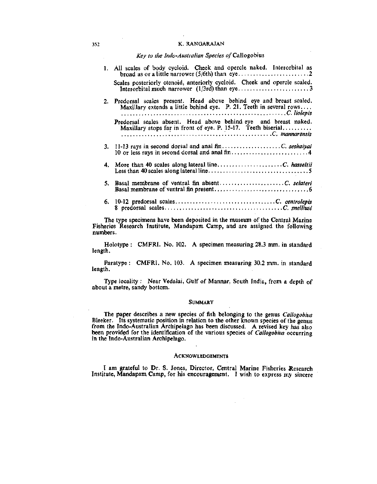### 352 K. RANGARAJAN

## *Key to the Indo-Australim Species of* Callogobius

|    | 1. All scales of body cycloid. Cheek and opercle naked. Interorbital as<br>Scales posteriorly ctenoid, anteriorly cycloid. Cheek and opercle scaled. |
|----|------------------------------------------------------------------------------------------------------------------------------------------------------|
|    | 2. Predorsal scales present. Head above behind eye and breast scaled.<br>Maxillary extends a little behind eye. P. 21. Teeth in several rows         |
|    | Predorsal scales absent. Head above behind eye and breast naked.<br>Maxillary stops far in front of eye. P. 15-17. Teeth biserial                    |
|    |                                                                                                                                                      |
|    |                                                                                                                                                      |
| 5. |                                                                                                                                                      |
|    |                                                                                                                                                      |

The type specimens have been deposited in the museum of the Central Marine Fisheries Research Institute, Mandapam Camp, and are assigned the following numbers.

Holotype : CMFRI. No. 102. A specimen measuring 28.3 mm. in standard length.

Paratype : CMFRI. No. 103. A specimen measuring 30.2 mm. in standard length.

Type locality : Near Vedalai, Gulf of Mannar, South India, from a depth of about a metre, sandy bottom.

## **SUMMARY**

The paper describes a new species of fish belonging to the genus *Callogobius*  Bleeker. Its systematic position in relation to the other known species of the genus from the Indo-Australian Archipelago has been discussed. A revised key has also been provided for the identification of the various species of *Callogobius* occurring in the Indo-Australian Archipelago.

### **ACKNOWLEDGEMENTS**

I am grateful to Dr. S. Jones, Director, Central Marine Fisheries Research Institute, Mandapam Camp, for his encouragement, I wish to express my sincere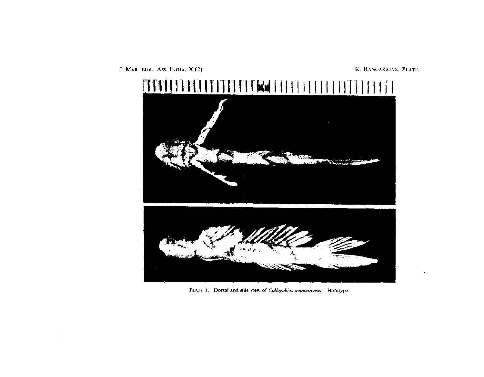

PLATE 1. *Dorsal and side view of Callogobius mannarensis.* Holotype.